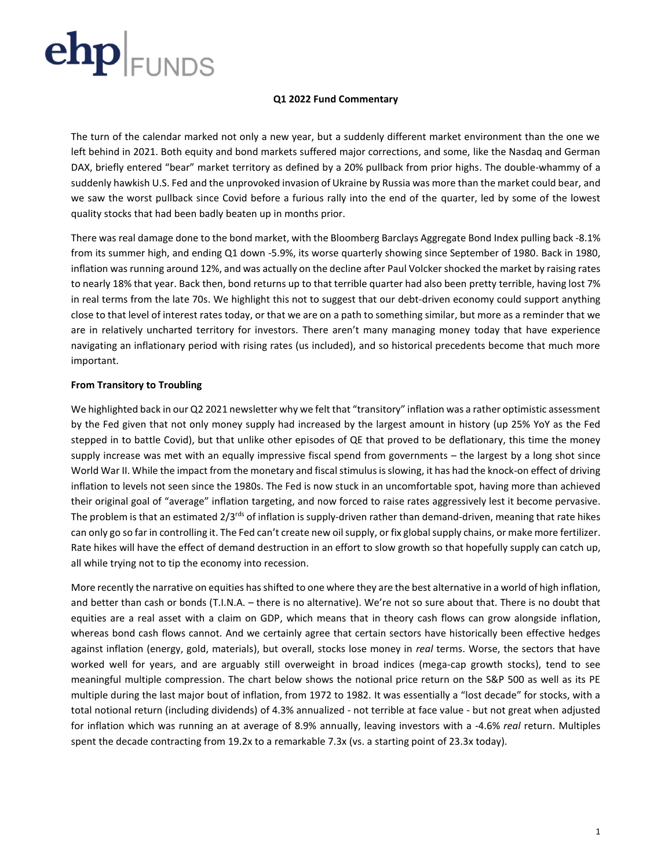

### **Q1 2022 Fund Commentary**

The turn of the calendar marked not only a new year, but a suddenly different market environment than the one we left behind in 2021. Both equity and bond markets suffered major corrections, and some, like the Nasdaq and German DAX, briefly entered "bear" market territory as defined by a 20% pullback from prior highs. The double-whammy of a suddenly hawkish U.S. Fed and the unprovoked invasion of Ukraine by Russia was more than the market could bear, and we saw the worst pullback since Covid before a furious rally into the end of the quarter, led by some of the lowest quality stocks that had been badly beaten up in months prior.

There was real damage done to the bond market, with the Bloomberg Barclays Aggregate Bond Index pulling back -8.1% from its summer high, and ending Q1 down -5.9%, its worse quarterly showing since September of 1980. Back in 1980, inflation was running around 12%, and was actually on the decline after Paul Volcker shocked the market by raising rates to nearly 18% that year. Back then, bond returns up to that terrible quarter had also been pretty terrible, having lost 7% in real terms from the late 70s. We highlight this not to suggest that our debt-driven economy could support anything close to that level of interest rates today, or that we are on a path to something similar, but more as a reminder that we are in relatively uncharted territory for investors. There aren't many managing money today that have experience navigating an inflationary period with rising rates (us included), and so historical precedents become that much more important.

## **From Transitory to Troubling**

We highlighted back in our Q2 2021 newsletter why we felt that "transitory" inflation was a rather optimistic assessment by the Fed given that not only money supply had increased by the largest amount in history (up 25% YoY as the Fed stepped in to battle Covid), but that unlike other episodes of QE that proved to be deflationary, this time the money supply increase was met with an equally impressive fiscal spend from governments – the largest by a long shot since World War II. While the impact from the monetary and fiscal stimulus isslowing, it has had the knock-on effect of driving inflation to levels not seen since the 1980s. The Fed is now stuck in an uncomfortable spot, having more than achieved their original goal of "average" inflation targeting, and now forced to raise rates aggressively lest it become pervasive. The problem is that an estimated  $2/3^{rds}$  of inflation is supply-driven rather than demand-driven, meaning that rate hikes can only go so far in controlling it. The Fed can't create new oil supply, or fix global supply chains, or make more fertilizer. Rate hikes will have the effect of demand destruction in an effort to slow growth so that hopefully supply can catch up, all while trying not to tip the economy into recession.

More recently the narrative on equities has shifted to one where they are the best alternative in a world of high inflation, and better than cash or bonds (T.I.N.A. – there is no alternative). We're not so sure about that. There is no doubt that equities are a real asset with a claim on GDP, which means that in theory cash flows can grow alongside inflation, whereas bond cash flows cannot. And we certainly agree that certain sectors have historically been effective hedges against inflation (energy, gold, materials), but overall, stocks lose money in *real* terms. Worse, the sectors that have worked well for years, and are arguably still overweight in broad indices (mega-cap growth stocks), tend to see meaningful multiple compression. The chart below shows the notional price return on the S&P 500 as well as its PE multiple during the last major bout of inflation, from 1972 to 1982. It was essentially a "lost decade" for stocks, with a total notional return (including dividends) of 4.3% annualized - not terrible at face value - but not great when adjusted for inflation which was running an at average of 8.9% annually, leaving investors with a -4.6% *real* return. Multiples spent the decade contracting from 19.2x to a remarkable 7.3x (vs. a starting point of 23.3x today).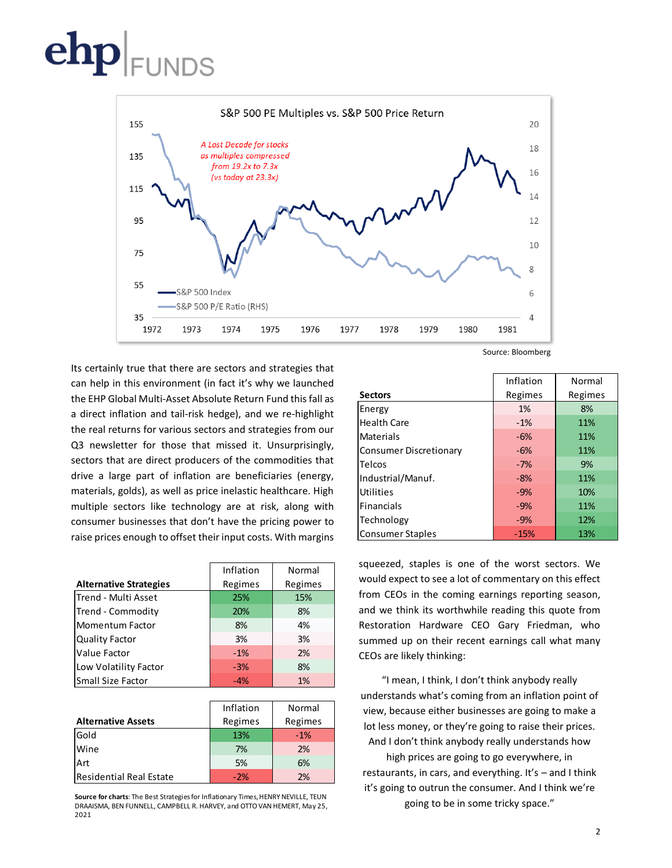

Its certainly true that there are sectors and strategies that can help in this environment (in fact it's why we launched the EHP Global Multi-Asset Absolute Return Fund this fall as a direct inflation and tail-risk hedge), and we re-highlight the real returns for various sectors and strategies from our Q3 newsletter for those that missed it. Unsurprisingly, sectors that are direct producers of the commodities that drive a large part of inflation are beneficiaries (energy, materials, golds), as well as price inelastic healthcare. High multiple sectors like technology are at risk, along with consumer businesses that don't have the pricing power to raise prices enough to offset their input costs. With margins

|                               | Inflation         | Normal                                                                                                               |  |
|-------------------------------|-------------------|----------------------------------------------------------------------------------------------------------------------|--|
| <b>Alternative Strategies</b> | Regimes           | Regimes                                                                                                              |  |
| Trend - Multi Asset           | 25%               | 15%                                                                                                                  |  |
| Trend - Commodity             | 20%               | 8%                                                                                                                   |  |
| <b>Momentum Factor</b>        | 8%                | 4%                                                                                                                   |  |
| <b>Quality Factor</b>         | 3%                | 3%                                                                                                                   |  |
| Value Factor                  | $-1%$             | 2%                                                                                                                   |  |
| Low Volatility Factor         | $-3%$             | 8%                                                                                                                   |  |
| Small Size Factor             | $-4%$             | 1%                                                                                                                   |  |
|                               |                   |                                                                                                                      |  |
|                               | $1 - 11 - 12 = 1$ | $\mathbf{A}$ $\mathbf{B}$ $\mathbf{A}$ $\mathbf{B}$ $\mathbf{A}$ $\mathbf{B}$ $\mathbf{B}$ $\mathbf{B}$ $\mathbf{B}$ |  |

|                                | Inflation | Normal  |  |  |
|--------------------------------|-----------|---------|--|--|
| <b>Alternative Assets</b>      | Regimes   | Regimes |  |  |
| Gold                           | 13%       | $-1%$   |  |  |
| <b>Wine</b>                    | 7%        | 2%      |  |  |
| Art                            | 5%        | 6%      |  |  |
| <b>Residential Real Estate</b> | $-2%$     | 2%      |  |  |

**Source for charts**: The Best Strategies for Inflationary Times, HENRY NEVILLE, TEUN DRAAISMA, BEN FUNNELL, CAMPBELL R. HARVEY, and OTTO VAN HEMERT, May 25, 2021

Source: Bloomberg

|                               | Inflation | Normal  |  |  |
|-------------------------------|-----------|---------|--|--|
| <b>Sectors</b>                | Regimes   | Regimes |  |  |
| Energy                        | 1%        | 8%      |  |  |
| <b>Health Care</b>            | $-1%$     | 11%     |  |  |
| <b>Materials</b>              | $-6%$     | 11%     |  |  |
| <b>Consumer Discretionary</b> | $-6%$     | 11%     |  |  |
| Telcos                        | $-7%$     | 9%      |  |  |
| Industrial/Manuf.             | $-8%$     | 11%     |  |  |
| Utilities                     | $-9%$     | 10%     |  |  |
| <b>Financials</b>             | $-9%$     | 11%     |  |  |
| Technology                    | $-9%$     | 12%     |  |  |
| <b>Consumer Staples</b>       | $-15%$    | 13%     |  |  |

squeezed, staples is one of the worst sectors. We would expect to see a lot of commentary on this effect from CEOs in the coming earnings reporting season, and we think its worthwhile reading this quote from Restoration Hardware CEO Gary Friedman, who summed up on their recent earnings call what many CEOs are likely thinking:

"I mean, I think, I don't think anybody really understands what's coming from an inflation point of view, because either businesses are going to make a lot less money, or they're going to raise their prices. And I don't think anybody really understands how

high prices are going to go everywhere, in restaurants, in cars, and everything. It's – and I think it's going to outrun the consumer. And I think we're going to be in some tricky space."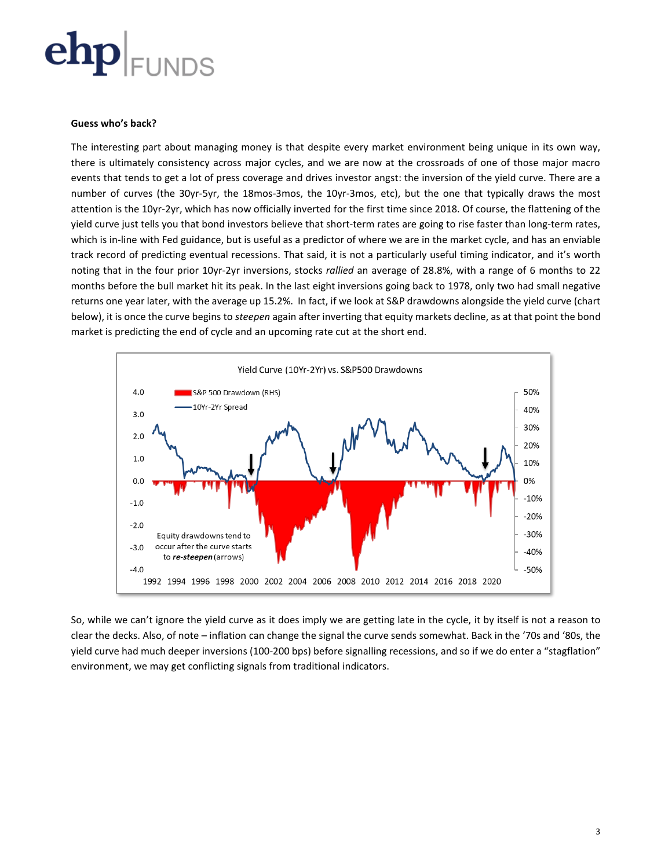

### **Guess who's back?**

The interesting part about managing money is that despite every market environment being unique in its own way, there is ultimately consistency across major cycles, and we are now at the crossroads of one of those major macro events that tends to get a lot of press coverage and drives investor angst: the inversion of the yield curve. There are a number of curves (the 30yr-5yr, the 18mos-3mos, the 10yr-3mos, etc), but the one that typically draws the most attention is the 10yr-2yr, which has now officially inverted for the first time since 2018. Of course, the flattening of the yield curve just tells you that bond investors believe that short-term rates are going to rise faster than long-term rates, which is in-line with Fed guidance, but is useful as a predictor of where we are in the market cycle, and has an enviable track record of predicting eventual recessions. That said, it is not a particularly useful timing indicator, and it's worth noting that in the four prior 10yr-2yr inversions, stocks *rallied* an average of 28.8%, with a range of 6 months to 22 months before the bull market hit its peak. In the last eight inversions going back to 1978, only two had small negative returns one year later, with the average up 15.2%. In fact, if we look at S&P drawdowns alongside the yield curve (chart below), it is once the curve begins to *steepen* again after inverting that equity markets decline, as at that point the bond market is predicting the end of cycle and an upcoming rate cut at the short end.



So, while we can't ignore the yield curve as it does imply we are getting late in the cycle, it by itself is not a reason to clear the decks. Also, of note – inflation can change the signal the curve sends somewhat. Back in the '70s and '80s, the yield curve had much deeper inversions (100-200 bps) before signalling recessions, and so if we do enter a "stagflation" environment, we may get conflicting signals from traditional indicators.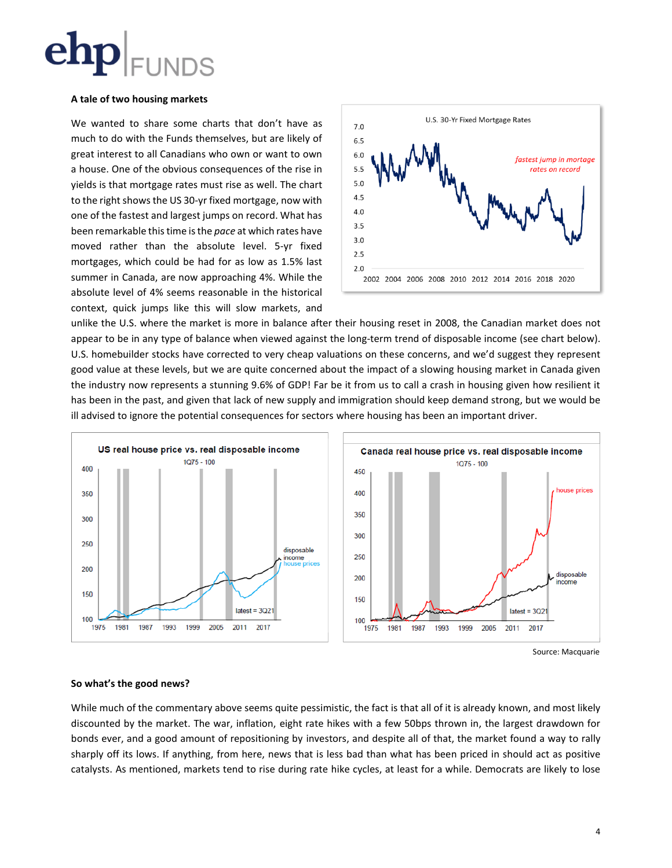

## **A tale of two housing markets**

We wanted to share some charts that don't have as much to do with the Funds themselves, but are likely of great interest to all Canadians who own or want to own a house. One of the obvious consequences of the rise in yields is that mortgage rates must rise as well. The chart to the right shows the US 30-yr fixed mortgage, now with one of the fastest and largest jumps on record. What has been remarkable this time is the *pace* at which rates have moved rather than the absolute level. 5-yr fixed mortgages, which could be had for as low as 1.5% last summer in Canada, are now approaching 4%. While the absolute level of 4% seems reasonable in the historical context, quick jumps like this will slow markets, and



unlike the U.S. where the market is more in balance after their housing reset in 2008, the Canadian market does not appear to be in any type of balance when viewed against the long-term trend of disposable income (see chart below). U.S. homebuilder stocks have corrected to very cheap valuations on these concerns, and we'd suggest they represent good value at these levels, but we are quite concerned about the impact of a slowing housing market in Canada given the industry now represents a stunning 9.6% of GDP! Far be it from us to call a crash in housing given how resilient it has been in the past, and given that lack of new supply and immigration should keep demand strong, but we would be ill advised to ignore the potential consequences for sectors where housing has been an important driver.



Source: Macquarie

## **So what's the good news?**

While much of the commentary above seems quite pessimistic, the fact is that all of it is already known, and most likely discounted by the market. The war, inflation, eight rate hikes with a few 50bps thrown in, the largest drawdown for bonds ever, and a good amount of repositioning by investors, and despite all of that, the market found a way to rally sharply off its lows. If anything, from here, news that is less bad than what has been priced in should act as positive catalysts. As mentioned, markets tend to rise during rate hike cycles, at least for a while. Democrats are likely to lose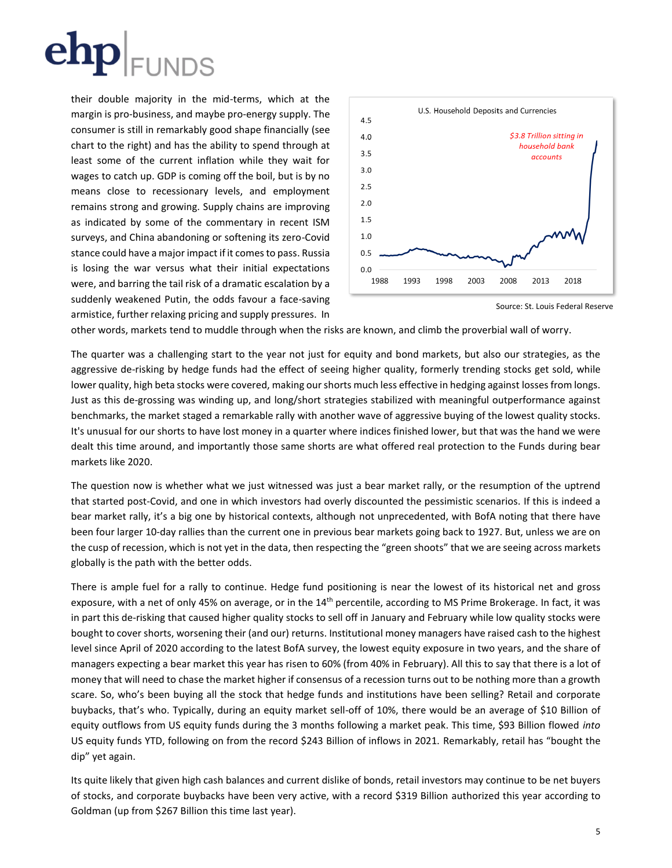

their double majority in the mid-terms, which at the margin is pro-business, and maybe pro-energy supply. The consumer is still in remarkably good shape financially (see chart to the right) and has the ability to spend through at least some of the current inflation while they wait for wages to catch up. GDP is coming off the boil, but is by no means close to recessionary levels, and employment remains strong and growing. Supply chains are improving as indicated by some of the commentary in recent ISM surveys, and China abandoning or softening its zero-Covid stance could have a major impact if it comes to pass. Russia is losing the war versus what their initial expectations were, and barring the tail risk of a dramatic escalation by a suddenly weakened Putin, the odds favour a face-saving armistice, further relaxing pricing and supply pressures. In



Source: St. Louis Federal Reserve

other words, markets tend to muddle through when the risks are known, and climb the proverbial wall of worry.

The quarter was a challenging start to the year not just for equity and bond markets, but also our strategies, as the aggressive de-risking by hedge funds had the effect of seeing higher quality, formerly trending stocks get sold, while lower quality, high beta stocks were covered, making our shorts much less effective in hedging against losses from longs. Just as this de-grossing was winding up, and long/short strategies stabilized with meaningful outperformance against benchmarks, the market staged a remarkable rally with another wave of aggressive buying of the lowest quality stocks. It's unusual for our shorts to have lost money in a quarter where indices finished lower, but that was the hand we were dealt this time around, and importantly those same shorts are what offered real protection to the Funds during bear markets like 2020.

The question now is whether what we just witnessed was just a bear market rally, or the resumption of the uptrend that started post-Covid, and one in which investors had overly discounted the pessimistic scenarios. If this is indeed a bear market rally, it's a big one by historical contexts, although not unprecedented, with BofA noting that there have been four larger 10-day rallies than the current one in previous bear markets going back to 1927. But, unless we are on the cusp of recession, which is not yet in the data, then respecting the "green shoots" that we are seeing across markets globally is the path with the better odds.

There is ample fuel for a rally to continue. Hedge fund positioning is near the lowest of its historical net and gross exposure, with a net of only 45% on average, or in the 14<sup>th</sup> percentile, according to MS Prime Brokerage. In fact, it was in part this de-risking that caused higher quality stocks to sell off in January and February while low quality stocks were bought to cover shorts, worsening their (and our) returns. Institutional money managers have raised cash to the highest level since April of 2020 according to the latest BofA survey, the lowest equity exposure in two years, and the share of managers expecting a bear market this year has risen to 60% (from 40% in February). All this to say that there is a lot of money that will need to chase the market higher if consensus of a recession turns out to be nothing more than a growth scare. So, who's been buying all the stock that hedge funds and institutions have been selling? Retail and corporate buybacks, that's who. Typically, during an equity market sell-off of 10%, there would be an average of \$10 Billion of equity outflows from US equity funds during the 3 months following a market peak. This time, \$93 Billion flowed *into* US equity funds YTD, following on from the record \$243 Billion of inflows in 2021. Remarkably, retail has "bought the dip" yet again.

Its quite likely that given high cash balances and current dislike of bonds, retail investors may continue to be net buyers of stocks, and corporate buybacks have been very active, with a record \$319 Billion authorized this year according to Goldman (up from \$267 Billion this time last year).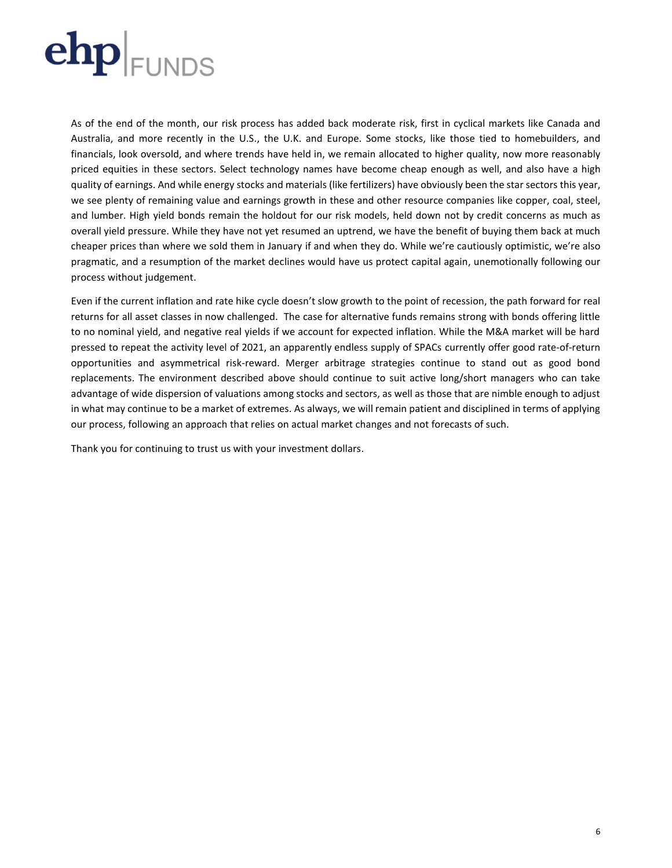

As of the end of the month, our risk process has added back moderate risk, first in cyclical markets like Canada and Australia, and more recently in the U.S., the U.K. and Europe. Some stocks, like those tied to homebuilders, and financials, look oversold, and where trends have held in, we remain allocated to higher quality, now more reasonably priced equities in these sectors. Select technology names have become cheap enough as well, and also have a high quality of earnings. And while energy stocks and materials (like fertilizers) have obviously been the star sectors this year, we see plenty of remaining value and earnings growth in these and other resource companies like copper, coal, steel, and lumber. High yield bonds remain the holdout for our risk models, held down not by credit concerns as much as overall yield pressure. While they have not yet resumed an uptrend, we have the benefit of buying them back at much cheaper prices than where we sold them in January if and when they do. While we're cautiously optimistic, we're also pragmatic, and a resumption of the market declines would have us protect capital again, unemotionally following our process without judgement.

Even if the current inflation and rate hike cycle doesn't slow growth to the point of recession, the path forward for real returns for all asset classes in now challenged. The case for alternative funds remains strong with bonds offering little to no nominal yield, and negative real yields if we account for expected inflation. While the M&A market will be hard pressed to repeat the activity level of 2021, an apparently endless supply of SPACs currently offer good rate-of-return opportunities and asymmetrical risk-reward. Merger arbitrage strategies continue to stand out as good bond replacements. The environment described above should continue to suit active long/short managers who can take advantage of wide dispersion of valuations among stocks and sectors, as well as those that are nimble enough to adjust in what may continue to be a market of extremes. As always, we will remain patient and disciplined in terms of applying our process, following an approach that relies on actual market changes and not forecasts of such.

Thank you for continuing to trust us with your investment dollars.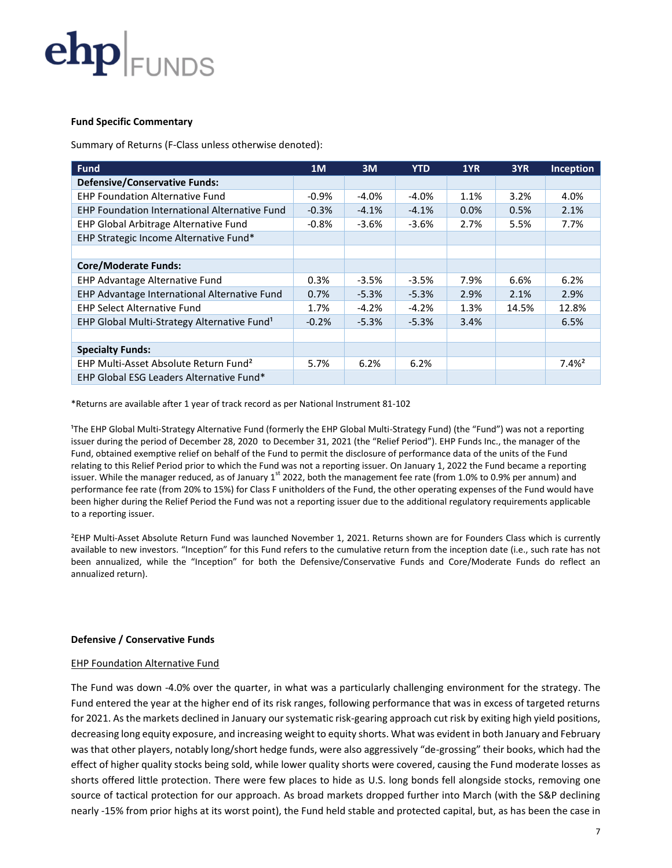

### **Fund Specific Commentary**

Summary of Returns (F-Class unless otherwise denoted):

| <b>Fund</b>                                             | 1M       | 3M       | <b>YTD</b> | 1YR     | 3YR   | <b>Inception</b> |
|---------------------------------------------------------|----------|----------|------------|---------|-------|------------------|
| <b>Defensive/Conservative Funds:</b>                    |          |          |            |         |       |                  |
| <b>EHP Foundation Alternative Fund</b>                  | $-0.9\%$ | $-4.0\%$ | $-4.0\%$   | 1.1%    | 3.2%  | 4.0%             |
| <b>EHP Foundation International Alternative Fund</b>    | $-0.3%$  | $-4.1%$  | $-4.1%$    | $0.0\%$ | 0.5%  | 2.1%             |
| EHP Global Arbitrage Alternative Fund                   | $-0.8%$  | $-3.6%$  | $-3.6%$    | 2.7%    | 5.5%  | 7.7%             |
| EHP Strategic Income Alternative Fund*                  |          |          |            |         |       |                  |
|                                                         |          |          |            |         |       |                  |
| <b>Core/Moderate Funds:</b>                             |          |          |            |         |       |                  |
| EHP Advantage Alternative Fund                          | 0.3%     | $-3.5%$  | $-3.5%$    | 7.9%    | 6.6%  | 6.2%             |
| EHP Advantage International Alternative Fund            | 0.7%     | $-5.3%$  | $-5.3%$    | 2.9%    | 2.1%  | 2.9%             |
| <b>EHP Select Alternative Fund</b>                      | 1.7%     | $-4.2%$  | $-4.2%$    | 1.3%    | 14.5% | 12.8%            |
| EHP Global Multi-Strategy Alternative Fund <sup>1</sup> | $-0.2%$  | $-5.3%$  | $-5.3%$    | 3.4%    |       | 6.5%             |
|                                                         |          |          |            |         |       |                  |
| <b>Specialty Funds:</b>                                 |          |          |            |         |       |                  |
| EHP Multi-Asset Absolute Return Fund <sup>2</sup>       | 5.7%     | 6.2%     | 6.2%       |         |       | $7.4%^{2}$       |
| EHP Global ESG Leaders Alternative Fund*                |          |          |            |         |       |                  |

\*Returns are available after 1 year of track record as per National Instrument 81-102

<sup>1</sup>The EHP Global Multi-Strategy Alternative Fund (formerly the EHP Global Multi-Strategy Fund) (the "Fund") was not a reporting issuer during the period of December 28, 2020 to December 31, 2021 (the "Relief Period"). EHP Funds Inc., the manager of the Fund, obtained exemptive relief on behalf of the Fund to permit the disclosure of performance data of the units of the Fund relating to this Relief Period prior to which the Fund was not a reporting issuer. On January 1, 2022 the Fund became a reporting issuer. While the manager reduced, as of January 1<sup>st</sup> 2022, both the management fee rate (from 1.0% to 0.9% per annum) and performance fee rate (from 20% to 15%) for Class F unitholders of the Fund, the other operating expenses of the Fund would have been higher during the Relief Period the Fund was not a reporting issuer due to the additional regulatory requirements applicable to a reporting issuer.

²EHP Multi-Asset Absolute Return Fund was launched November 1, 2021. Returns shown are for Founders Class which is currently available to new investors. "Inception" for this Fund refers to the cumulative return from the inception date (i.e., such rate has not been annualized, while the "Inception" for both the Defensive/Conservative Funds and Core/Moderate Funds do reflect an annualized return).

## **Defensive / Conservative Funds**

### **EHP Foundation Alternative Fund**

The Fund was down -4.0% over the quarter, in what was a particularly challenging environment for the strategy. The Fund entered the year at the higher end of its risk ranges, following performance that was in excess of targeted returns for 2021. As the markets declined in January our systematic risk-gearing approach cut risk by exiting high yield positions, decreasing long equity exposure, and increasing weight to equity shorts. What was evident in both January and February was that other players, notably long/short hedge funds, were also aggressively "de-grossing" their books, which had the effect of higher quality stocks being sold, while lower quality shorts were covered, causing the Fund moderate losses as shorts offered little protection. There were few places to hide as U.S. long bonds fell alongside stocks, removing one source of tactical protection for our approach. As broad markets dropped further into March (with the S&P declining nearly -15% from prior highs at its worst point), the Fund held stable and protected capital, but, as has been the case in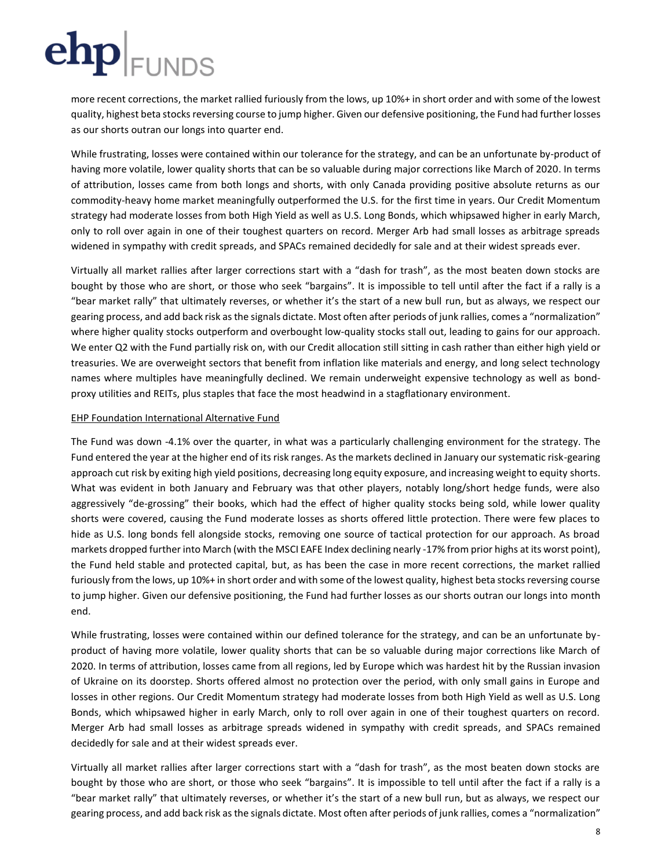more recent corrections, the market rallied furiously from the lows, up 10%+ in short order and with some of the lowest quality, highest beta stocks reversing course to jump higher. Given our defensive positioning, the Fund had further losses as our shorts outran our longs into quarter end.

While frustrating, losses were contained within our tolerance for the strategy, and can be an unfortunate by-product of having more volatile, lower quality shorts that can be so valuable during major corrections like March of 2020. In terms of attribution, losses came from both longs and shorts, with only Canada providing positive absolute returns as our commodity-heavy home market meaningfully outperformed the U.S. for the first time in years. Our Credit Momentum strategy had moderate losses from both High Yield as well as U.S. Long Bonds, which whipsawed higher in early March, only to roll over again in one of their toughest quarters on record. Merger Arb had small losses as arbitrage spreads widened in sympathy with credit spreads, and SPACs remained decidedly for sale and at their widest spreads ever.

Virtually all market rallies after larger corrections start with a "dash for trash", as the most beaten down stocks are bought by those who are short, or those who seek "bargains". It is impossible to tell until after the fact if a rally is a "bear market rally" that ultimately reverses, or whether it's the start of a new bull run, but as always, we respect our gearing process, and add back risk as the signals dictate. Most often after periods of junk rallies, comes a "normalization" where higher quality stocks outperform and overbought low-quality stocks stall out, leading to gains for our approach. We enter Q2 with the Fund partially risk on, with our Credit allocation still sitting in cash rather than either high yield or treasuries. We are overweight sectors that benefit from inflation like materials and energy, and long select technology names where multiples have meaningfully declined. We remain underweight expensive technology as well as bondproxy utilities and REITs, plus staples that face the most headwind in a stagflationary environment.

## EHP Foundation International Alternative Fund

The Fund was down -4.1% over the quarter, in what was a particularly challenging environment for the strategy. The Fund entered the year at the higher end of its risk ranges. As the markets declined in January our systematic risk-gearing approach cut risk by exiting high yield positions, decreasing long equity exposure, and increasing weight to equity shorts. What was evident in both January and February was that other players, notably long/short hedge funds, were also aggressively "de-grossing" their books, which had the effect of higher quality stocks being sold, while lower quality shorts were covered, causing the Fund moderate losses as shorts offered little protection. There were few places to hide as U.S. long bonds fell alongside stocks, removing one source of tactical protection for our approach. As broad markets dropped further into March (with the MSCI EAFE Index declining nearly -17% from prior highs at its worst point), the Fund held stable and protected capital, but, as has been the case in more recent corrections, the market rallied furiously from the lows, up 10%+ in short order and with some of the lowest quality, highest beta stocks reversing course to jump higher. Given our defensive positioning, the Fund had further losses as our shorts outran our longs into month end.

While frustrating, losses were contained within our defined tolerance for the strategy, and can be an unfortunate byproduct of having more volatile, lower quality shorts that can be so valuable during major corrections like March of 2020. In terms of attribution, losses came from all regions, led by Europe which was hardest hit by the Russian invasion of Ukraine on its doorstep. Shorts offered almost no protection over the period, with only small gains in Europe and losses in other regions. Our Credit Momentum strategy had moderate losses from both High Yield as well as U.S. Long Bonds, which whipsawed higher in early March, only to roll over again in one of their toughest quarters on record. Merger Arb had small losses as arbitrage spreads widened in sympathy with credit spreads, and SPACs remained decidedly for sale and at their widest spreads ever.

Virtually all market rallies after larger corrections start with a "dash for trash", as the most beaten down stocks are bought by those who are short, or those who seek "bargains". It is impossible to tell until after the fact if a rally is a "bear market rally" that ultimately reverses, or whether it's the start of a new bull run, but as always, we respect our gearing process, and add back risk as the signals dictate. Most often after periods of junk rallies, comes a "normalization"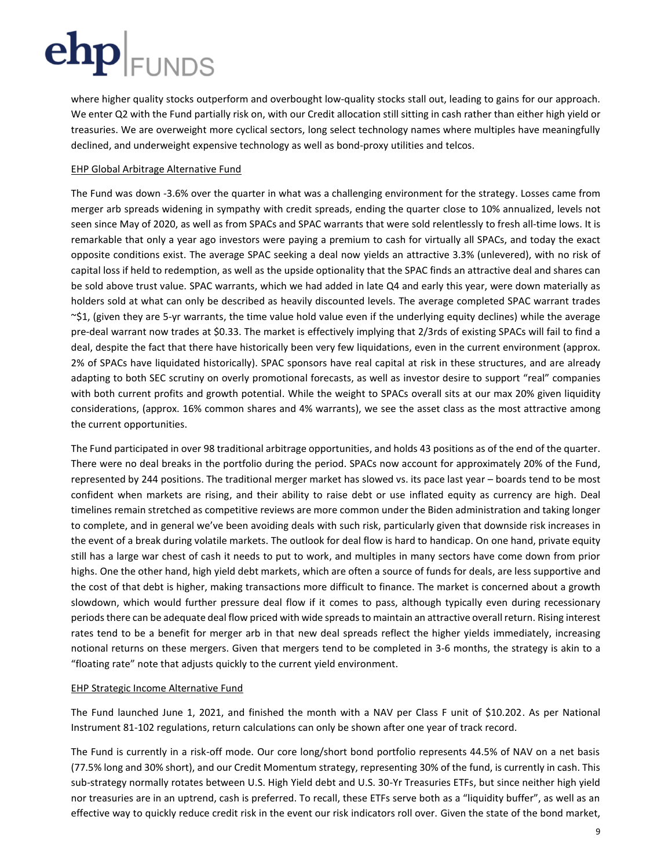where higher quality stocks outperform and overbought low-quality stocks stall out, leading to gains for our approach. We enter Q2 with the Fund partially risk on, with our Credit allocation still sitting in cash rather than either high yield or treasuries. We are overweight more cyclical sectors, long select technology names where multiples have meaningfully declined, and underweight expensive technology as well as bond-proxy utilities and telcos.

## EHP Global Arbitrage Alternative Fund

The Fund was down -3.6% over the quarter in what was a challenging environment for the strategy. Losses came from merger arb spreads widening in sympathy with credit spreads, ending the quarter close to 10% annualized, levels not seen since May of 2020, as well as from SPACs and SPAC warrants that were sold relentlessly to fresh all-time lows. It is remarkable that only a year ago investors were paying a premium to cash for virtually all SPACs, and today the exact opposite conditions exist. The average SPAC seeking a deal now yields an attractive 3.3% (unlevered), with no risk of capital loss if held to redemption, as well as the upside optionality that the SPAC finds an attractive deal and shares can be sold above trust value. SPAC warrants, which we had added in late Q4 and early this year, were down materially as holders sold at what can only be described as heavily discounted levels. The average completed SPAC warrant trades  $\sim$ \$1, (given they are 5-yr warrants, the time value hold value even if the underlying equity declines) while the average pre-deal warrant now trades at \$0.33. The market is effectively implying that 2/3rds of existing SPACs will fail to find a deal, despite the fact that there have historically been very few liquidations, even in the current environment (approx. 2% of SPACs have liquidated historically). SPAC sponsors have real capital at risk in these structures, and are already adapting to both SEC scrutiny on overly promotional forecasts, as well as investor desire to support "real" companies with both current profits and growth potential. While the weight to SPACs overall sits at our max 20% given liquidity considerations, (approx. 16% common shares and 4% warrants), we see the asset class as the most attractive among the current opportunities.

The Fund participated in over 98 traditional arbitrage opportunities, and holds 43 positions as of the end of the quarter. There were no deal breaks in the portfolio during the period. SPACs now account for approximately 20% of the Fund, represented by 244 positions. The traditional merger market has slowed vs. its pace last year – boards tend to be most confident when markets are rising, and their ability to raise debt or use inflated equity as currency are high. Deal timelines remain stretched as competitive reviews are more common under the Biden administration and taking longer to complete, and in general we've been avoiding deals with such risk, particularly given that downside risk increases in the event of a break during volatile markets. The outlook for deal flow is hard to handicap. On one hand, private equity still has a large war chest of cash it needs to put to work, and multiples in many sectors have come down from prior highs. One the other hand, high yield debt markets, which are often a source of funds for deals, are less supportive and the cost of that debt is higher, making transactions more difficult to finance. The market is concerned about a growth slowdown, which would further pressure deal flow if it comes to pass, although typically even during recessionary periods there can be adequate deal flow priced with wide spreads to maintain an attractive overall return. Rising interest rates tend to be a benefit for merger arb in that new deal spreads reflect the higher yields immediately, increasing notional returns on these mergers. Given that mergers tend to be completed in 3-6 months, the strategy is akin to a "floating rate" note that adjusts quickly to the current yield environment.

## EHP Strategic Income Alternative Fund

The Fund launched June 1, 2021, and finished the month with a NAV per Class F unit of \$10.202. As per National Instrument 81-102 regulations, return calculations can only be shown after one year of track record.

The Fund is currently in a risk-off mode. Our core long/short bond portfolio represents 44.5% of NAV on a net basis (77.5% long and 30% short), and our Credit Momentum strategy, representing 30% of the fund, is currently in cash. This sub-strategy normally rotates between U.S. High Yield debt and U.S. 30-Yr Treasuries ETFs, but since neither high yield nor treasuries are in an uptrend, cash is preferred. To recall, these ETFs serve both as a "liquidity buffer", as well as an effective way to quickly reduce credit risk in the event our risk indicators roll over. Given the state of the bond market,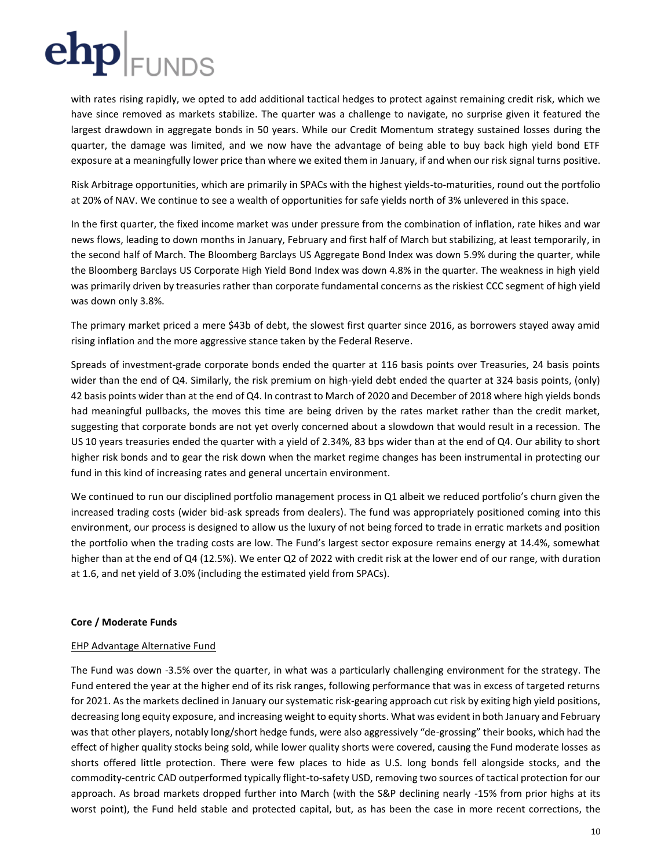with rates rising rapidly, we opted to add additional tactical hedges to protect against remaining credit risk, which we have since removed as markets stabilize. The quarter was a challenge to navigate, no surprise given it featured the largest drawdown in aggregate bonds in 50 years. While our Credit Momentum strategy sustained losses during the quarter, the damage was limited, and we now have the advantage of being able to buy back high yield bond ETF exposure at a meaningfully lower price than where we exited them in January, if and when our risk signal turns positive.

Risk Arbitrage opportunities, which are primarily in SPACs with the highest yields-to-maturities, round out the portfolio at 20% of NAV. We continue to see a wealth of opportunities for safe yields north of 3% unlevered in this space.

In the first quarter, the fixed income market was under pressure from the combination of inflation, rate hikes and war news flows, leading to down months in January, February and first half of March but stabilizing, at least temporarily, in the second half of March. The Bloomberg Barclays US Aggregate Bond Index was down 5.9% during the quarter, while the Bloomberg Barclays US Corporate High Yield Bond Index was down 4.8% in the quarter. The weakness in high yield was primarily driven by treasuries rather than corporate fundamental concerns as the riskiest CCC segment of high yield was down only 3.8%.

The primary market priced a mere \$43b of debt, the slowest first quarter since 2016, as borrowers stayed away amid rising inflation and the more aggressive stance taken by the Federal Reserve.

Spreads of investment-grade corporate bonds ended the quarter at 116 basis points over Treasuries, 24 basis points wider than the end of Q4. Similarly, the risk premium on high-yield debt ended the quarter at 324 basis points, (only) 42 basis points wider than at the end of Q4. In contrast to March of 2020 and December of 2018 where high yields bonds had meaningful pullbacks, the moves this time are being driven by the rates market rather than the credit market, suggesting that corporate bonds are not yet overly concerned about a slowdown that would result in a recession. The US 10 years treasuries ended the quarter with a yield of 2.34%, 83 bps wider than at the end of Q4. Our ability to short higher risk bonds and to gear the risk down when the market regime changes has been instrumental in protecting our fund in this kind of increasing rates and general uncertain environment.

We continued to run our disciplined portfolio management process in Q1 albeit we reduced portfolio's churn given the increased trading costs (wider bid-ask spreads from dealers). The fund was appropriately positioned coming into this environment, our process is designed to allow us the luxury of not being forced to trade in erratic markets and position the portfolio when the trading costs are low. The Fund's largest sector exposure remains energy at 14.4%, somewhat higher than at the end of Q4 (12.5%). We enter Q2 of 2022 with credit risk at the lower end of our range, with duration at 1.6, and net yield of 3.0% (including the estimated yield from SPACs).

## **Core / Moderate Funds**

## EHP Advantage Alternative Fund

The Fund was down -3.5% over the quarter, in what was a particularly challenging environment for the strategy. The Fund entered the year at the higher end of its risk ranges, following performance that was in excess of targeted returns for 2021. As the markets declined in January our systematic risk-gearing approach cut risk by exiting high yield positions, decreasing long equity exposure, and increasing weight to equity shorts. What was evident in both January and February was that other players, notably long/short hedge funds, were also aggressively "de-grossing" their books, which had the effect of higher quality stocks being sold, while lower quality shorts were covered, causing the Fund moderate losses as shorts offered little protection. There were few places to hide as U.S. long bonds fell alongside stocks, and the commodity-centric CAD outperformed typically flight-to-safety USD, removing two sources of tactical protection for our approach. As broad markets dropped further into March (with the S&P declining nearly -15% from prior highs at its worst point), the Fund held stable and protected capital, but, as has been the case in more recent corrections, the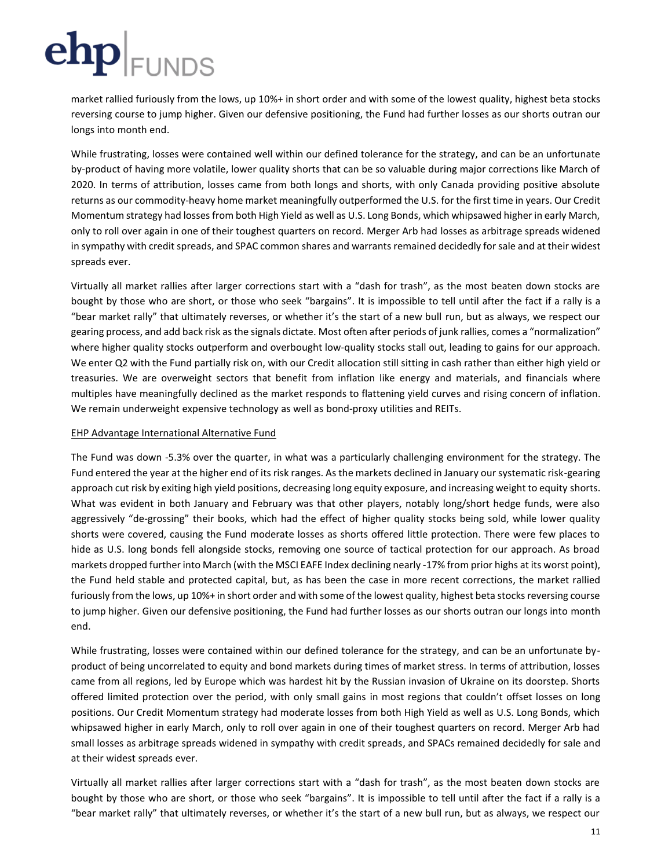market rallied furiously from the lows, up 10%+ in short order and with some of the lowest quality, highest beta stocks reversing course to jump higher. Given our defensive positioning, the Fund had further losses as our shorts outran our longs into month end.

While frustrating, losses were contained well within our defined tolerance for the strategy, and can be an unfortunate by-product of having more volatile, lower quality shorts that can be so valuable during major corrections like March of 2020. In terms of attribution, losses came from both longs and shorts, with only Canada providing positive absolute returns as our commodity-heavy home market meaningfully outperformed the U.S. for the first time in years. Our Credit Momentum strategy had losses from both High Yield as well as U.S. Long Bonds, which whipsawed higher in early March, only to roll over again in one of their toughest quarters on record. Merger Arb had losses as arbitrage spreads widened in sympathy with credit spreads, and SPAC common shares and warrants remained decidedly for sale and at their widest spreads ever.

Virtually all market rallies after larger corrections start with a "dash for trash", as the most beaten down stocks are bought by those who are short, or those who seek "bargains". It is impossible to tell until after the fact if a rally is a "bear market rally" that ultimately reverses, or whether it's the start of a new bull run, but as always, we respect our gearing process, and add back risk as the signals dictate. Most often after periods of junk rallies, comes a "normalization" where higher quality stocks outperform and overbought low-quality stocks stall out, leading to gains for our approach. We enter Q2 with the Fund partially risk on, with our Credit allocation still sitting in cash rather than either high yield or treasuries. We are overweight sectors that benefit from inflation like energy and materials, and financials where multiples have meaningfully declined as the market responds to flattening yield curves and rising concern of inflation. We remain underweight expensive technology as well as bond-proxy utilities and REITs.

### EHP Advantage International Alternative Fund

The Fund was down -5.3% over the quarter, in what was a particularly challenging environment for the strategy. The Fund entered the year at the higher end of its risk ranges. As the markets declined in January our systematic risk-gearing approach cut risk by exiting high yield positions, decreasing long equity exposure, and increasing weight to equity shorts. What was evident in both January and February was that other players, notably long/short hedge funds, were also aggressively "de-grossing" their books, which had the effect of higher quality stocks being sold, while lower quality shorts were covered, causing the Fund moderate losses as shorts offered little protection. There were few places to hide as U.S. long bonds fell alongside stocks, removing one source of tactical protection for our approach. As broad markets dropped further into March (with the MSCI EAFE Index declining nearly -17% from prior highs at its worst point), the Fund held stable and protected capital, but, as has been the case in more recent corrections, the market rallied furiously from the lows, up 10%+ in short order and with some of the lowest quality, highest beta stocks reversing course to jump higher. Given our defensive positioning, the Fund had further losses as our shorts outran our longs into month end.

While frustrating, losses were contained within our defined tolerance for the strategy, and can be an unfortunate byproduct of being uncorrelated to equity and bond markets during times of market stress. In terms of attribution, losses came from all regions, led by Europe which was hardest hit by the Russian invasion of Ukraine on its doorstep. Shorts offered limited protection over the period, with only small gains in most regions that couldn't offset losses on long positions. Our Credit Momentum strategy had moderate losses from both High Yield as well as U.S. Long Bonds, which whipsawed higher in early March, only to roll over again in one of their toughest quarters on record. Merger Arb had small losses as arbitrage spreads widened in sympathy with credit spreads, and SPACs remained decidedly for sale and at their widest spreads ever.

Virtually all market rallies after larger corrections start with a "dash for trash", as the most beaten down stocks are bought by those who are short, or those who seek "bargains". It is impossible to tell until after the fact if a rally is a "bear market rally" that ultimately reverses, or whether it's the start of a new bull run, but as always, we respect our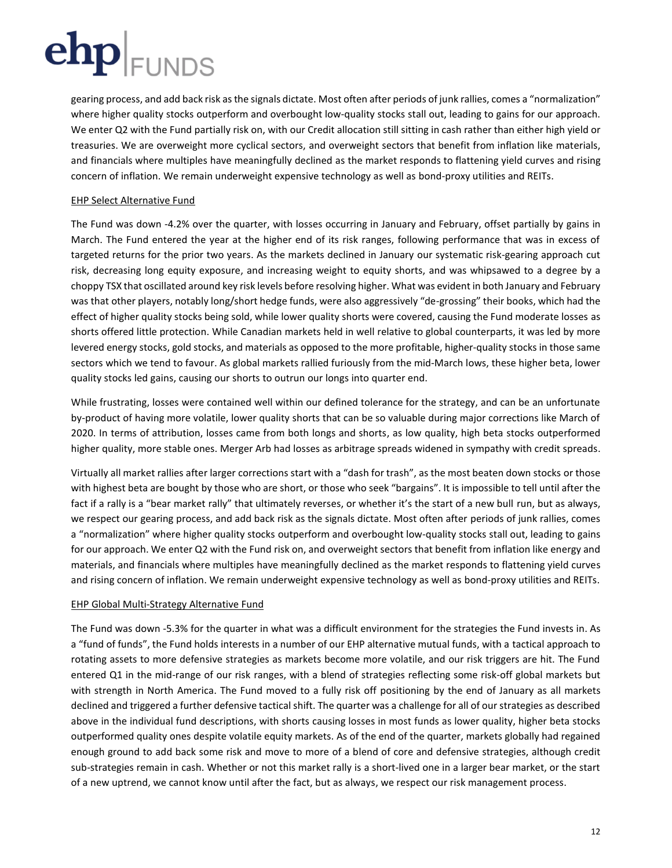gearing process, and add back risk as the signals dictate. Most often after periods of junk rallies, comes a "normalization" where higher quality stocks outperform and overbought low-quality stocks stall out, leading to gains for our approach. We enter Q2 with the Fund partially risk on, with our Credit allocation still sitting in cash rather than either high yield or treasuries. We are overweight more cyclical sectors, and overweight sectors that benefit from inflation like materials, and financials where multiples have meaningfully declined as the market responds to flattening yield curves and rising concern of inflation. We remain underweight expensive technology as well as bond-proxy utilities and REITs.

## EHP Select Alternative Fund

The Fund was down -4.2% over the quarter, with losses occurring in January and February, offset partially by gains in March. The Fund entered the year at the higher end of its risk ranges, following performance that was in excess of targeted returns for the prior two years. As the markets declined in January our systematic risk-gearing approach cut risk, decreasing long equity exposure, and increasing weight to equity shorts, and was whipsawed to a degree by a choppy TSX that oscillated around key risk levels before resolving higher. What was evident in both January and February was that other players, notably long/short hedge funds, were also aggressively "de-grossing" their books, which had the effect of higher quality stocks being sold, while lower quality shorts were covered, causing the Fund moderate losses as shorts offered little protection. While Canadian markets held in well relative to global counterparts, it was led by more levered energy stocks, gold stocks, and materials as opposed to the more profitable, higher-quality stocks in those same sectors which we tend to favour. As global markets rallied furiously from the mid-March lows, these higher beta, lower quality stocks led gains, causing our shorts to outrun our longs into quarter end.

While frustrating, losses were contained well within our defined tolerance for the strategy, and can be an unfortunate by-product of having more volatile, lower quality shorts that can be so valuable during major corrections like March of 2020. In terms of attribution, losses came from both longs and shorts, as low quality, high beta stocks outperformed higher quality, more stable ones. Merger Arb had losses as arbitrage spreads widened in sympathy with credit spreads.

Virtually all market rallies after larger corrections start with a "dash for trash", as the most beaten down stocks or those with highest beta are bought by those who are short, or those who seek "bargains". It is impossible to tell until after the fact if a rally is a "bear market rally" that ultimately reverses, or whether it's the start of a new bull run, but as always, we respect our gearing process, and add back risk as the signals dictate. Most often after periods of junk rallies, comes a "normalization" where higher quality stocks outperform and overbought low-quality stocks stall out, leading to gains for our approach. We enter Q2 with the Fund risk on, and overweight sectors that benefit from inflation like energy and materials, and financials where multiples have meaningfully declined as the market responds to flattening yield curves and rising concern of inflation. We remain underweight expensive technology as well as bond-proxy utilities and REITs.

## EHP Global Multi-Strategy Alternative Fund

The Fund was down -5.3% for the quarter in what was a difficult environment for the strategies the Fund invests in. As a "fund of funds", the Fund holds interests in a number of our EHP alternative mutual funds, with a tactical approach to rotating assets to more defensive strategies as markets become more volatile, and our risk triggers are hit. The Fund entered Q1 in the mid-range of our risk ranges, with a blend of strategies reflecting some risk-off global markets but with strength in North America. The Fund moved to a fully risk off positioning by the end of January as all markets declined and triggered a further defensive tactical shift. The quarter was a challenge for all of our strategies as described above in the individual fund descriptions, with shorts causing losses in most funds as lower quality, higher beta stocks outperformed quality ones despite volatile equity markets. As of the end of the quarter, markets globally had regained enough ground to add back some risk and move to more of a blend of core and defensive strategies, although credit sub-strategies remain in cash. Whether or not this market rally is a short-lived one in a larger bear market, or the start of a new uptrend, we cannot know until after the fact, but as always, we respect our risk management process.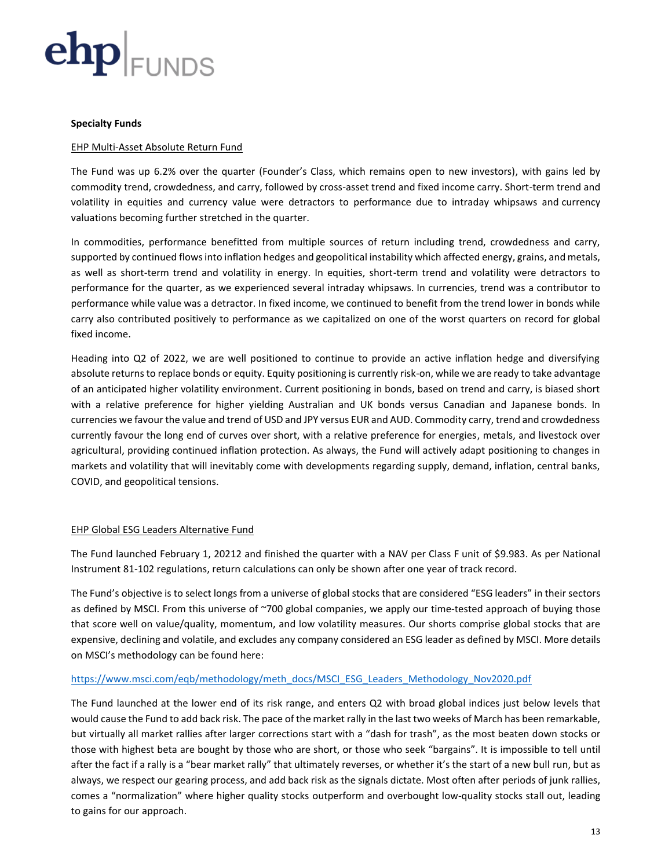

### **Specialty Funds**

### EHP Multi-Asset Absolute Return Fund

The Fund was up 6.2% over the quarter (Founder's Class, which remains open to new investors), with gains led by commodity trend, crowdedness, and carry, followed by cross-asset trend and fixed income carry. Short-term trend and volatility in equities and currency value were detractors to performance due to intraday whipsaws and currency valuations becoming further stretched in the quarter.

In commodities, performance benefitted from multiple sources of return including trend, crowdedness and carry, supported by continued flows into inflation hedges and geopolitical instability which affected energy, grains, and metals, as well as short-term trend and volatility in energy. In equities, short-term trend and volatility were detractors to performance for the quarter, as we experienced several intraday whipsaws. In currencies, trend was a contributor to performance while value was a detractor. In fixed income, we continued to benefit from the trend lower in bonds while carry also contributed positively to performance as we capitalized on one of the worst quarters on record for global fixed income.

Heading into Q2 of 2022, we are well positioned to continue to provide an active inflation hedge and diversifying absolute returns to replace bonds or equity. Equity positioning is currently risk-on, while we are ready to take advantage of an anticipated higher volatility environment. Current positioning in bonds, based on trend and carry, is biased short with a relative preference for higher yielding Australian and UK bonds versus Canadian and Japanese bonds. In currencies we favour the value and trend of USD and JPY versus EUR and AUD. Commodity carry, trend and crowdedness currently favour the long end of curves over short, with a relative preference for energies, metals, and livestock over agricultural, providing continued inflation protection. As always, the Fund will actively adapt positioning to changes in markets and volatility that will inevitably come with developments regarding supply, demand, inflation, central banks, COVID, and geopolitical tensions.

### EHP Global ESG Leaders Alternative Fund

The Fund launched February 1, 20212 and finished the quarter with a NAV per Class F unit of \$9.983. As per National Instrument 81-102 regulations, return calculations can only be shown after one year of track record.

The Fund's objective is to select longs from a universe of global stocks that are considered "ESG leaders" in their sectors as defined by MSCI. From this universe of ~700 global companies, we apply our time-tested approach of buying those that score well on value/quality, momentum, and low volatility measures. Our shorts comprise global stocks that are expensive, declining and volatile, and excludes any company considered an ESG leader as defined by MSCI. More details on MSCI's methodology can be found here:

### [https://www.msci.com/eqb/methodology/meth\\_docs/MSCI\\_ESG\\_Leaders\\_Methodology\\_Nov2020.pdf](https://www.msci.com/eqb/methodology/meth_docs/MSCI_ESG_Leaders_Methodology_Nov2020.pdf)

The Fund launched at the lower end of its risk range, and enters Q2 with broad global indices just below levels that would cause the Fund to add back risk. The pace of the market rally in the last two weeks of March has been remarkable, but virtually all market rallies after larger corrections start with a "dash for trash", as the most beaten down stocks or those with highest beta are bought by those who are short, or those who seek "bargains". It is impossible to tell until after the fact if a rally is a "bear market rally" that ultimately reverses, or whether it's the start of a new bull run, but as always, we respect our gearing process, and add back risk as the signals dictate. Most often after periods of junk rallies, comes a "normalization" where higher quality stocks outperform and overbought low-quality stocks stall out, leading to gains for our approach.